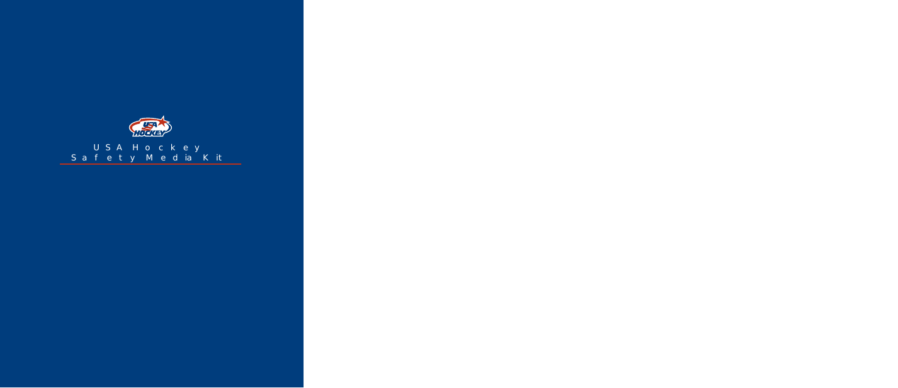

USA Hockey Safety Media Kit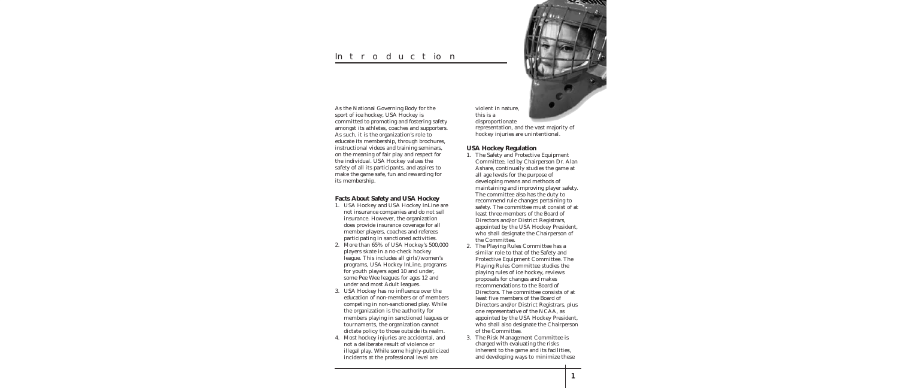# Introduction

As the National Governing Body for the sport of ice hockey, USA Hockey is committed to promoting and fostering safety amongst its athletes, coaches and supporters. As such, it is the organization's role to educate its membership, through brochures, instructional videos and training seminars, on the meaning of fair play and respect for the individual. USA Hockey values the safety of all its participants, and aspires to make the game safe, fun and rewarding for its membership.

#### **Facts About Safety and USA Hockey**

- 1. USA Hockey and USA Hockey InLine are not insurance companies and do not sell insurance. However, the organization does provide insurance coverage for all member players, coaches and referees participating in sanctioned activities.
- 2. More than 65% of USA Hockey's 500,000 players skate in a no-check hockey league. This includes all girls'/women's programs, USA Hockey InLine, programs for youth players aged 10 and under, some Pee Wee leagues for ages 12 and under and most Adult leagues.
- 3. USA Hockey has no influence over the education of non-members or of members competing in non-sanctioned play. While the organization is the authority for members playing in sanctioned leagues or tournaments, the organization cannot dictate policy to those outside its realm.
- 4. Most hockey injuries are accidental, and not a deliberate result of violence or illegal play. While some highly-publicized incidents at the professional level are

violent in nature, this is a disproportionate

representation, and the vast majority of hockey injuries are unintentional.

## **USA Hockey Regulation**

- 1. The Safety and Protective Equipment Committee, led by Chairperson Dr. Alan Ashare, continually studies the game at all age levels for the purpose of developing means and methods of maintaining and improving player safety. The committee also has the duty to recommend rule changes pertaining to safety. The committee must consist of at least three members of the Board of Directors and/or District Registrars, appointed by the USA Hockey President, who shall designate the Chairperson of the Committee.
- 2. The Playing Rules Committee has a similar role to that of the Safety and Protective Equipment Committee. The Playing Rules Committee studies the playing rules of ice hockey, reviews proposals for changes and makes recommendations to the Board of Directors. The committee consists of at least five members of the Board of Directors and/or District Registrars, plus one representative of the NCAA, as appointed by the USA Hockey President, who shall also designate the Chairperson of the Committee.
- 3. The Risk Management Committee is charged with evaluating the risks inherent to the game and its facilities, and developing ways to minimize these

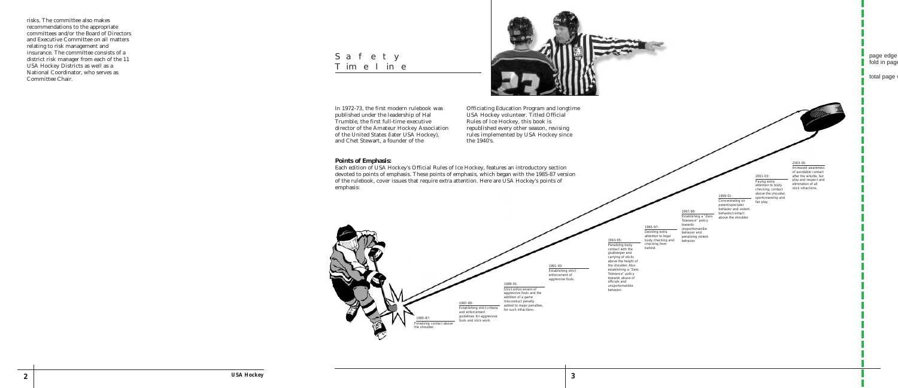# Safety Timeline



*3*

risks. The committee also makes recommendations to the appropriate committees and/or the Board of Directors and Executive Committee on all matters relating to risk management and insurance. The committee consists of a district risk manager from each of the 11 USA Hockey Districts as well as a National Coordinator, who serves as Committee Chair.



Penalizing body contact with the goalkeeper and carrying of sticks above the height of the shoulder. Also establishing a "Zero 1995-97: Devoting extra attention to legal body checking and checking from behind.

1989-91:

1987-89: Establishing strict criteria and enforcement guidelines for aggressive fouls and stick work. Strict enforcement of aggressive fouls and the addition of a game misconduct penalty added to major penalties, for such infractions.

Concentrating on parent/spectator behavior and violent 2001-03: Paying extra attention to body checking, contact above the shoulder, sportsmanship and fair play.

#### 1991-93: Establishing strict enforcement of aggressive fouls.

1993-95:

Tolerance" policy towards abuse of officials and unsportsmanlike behavior.

1997-99: Establishing a "Zero Tolerance" policy towards unsportsmanlike behavior and penalizing violent

behavior.

1999-01:

behavior/contact above the shoulder. 2003-05:

Increased awareness of avoidable contact after the whistle, fair play and respect and elimination of all stick infractions.

#### **Points of Emphasis:**

Each edition of USA Hockey's *Official Rules of Ice Hockey*, features an introductory section devoted to points of emphasis. These points of emphasis, which began with the 1985-87 version of the rulebook, cover issues that require extra attention. Here are USA Hockey's points of emphasis:

In 1972-73, the first modern rulebook was published under the leadership of Hal Trumble, the first full-time executive director of the Amateur Hockey Association of the United States (later USA Hockey), and Chet Stewart, a founder of the Officiating Education Program and longtime USA Hockey volunteer. Titled *Official Rules of Ice Hockey*, this book is republished every other season, revising rules implemented by USA Hockey since the 1940's.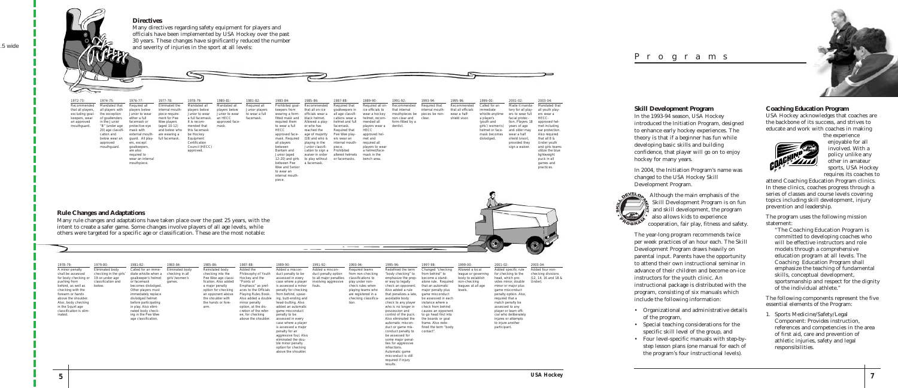# **Skill Development Program**

In the 1993-94 season, USA Hockey introduced the Initiation Program, designed to enhance early hockey experiences. The theory is that if a beginner has fun while developing basic skills and building confidence, that player will go on to enjoy hockey for many years.

 $P_{\text{S}}^{\text{VEL}}$  Although the main emphasis of the Skill Development Program is on fun and skill development, the program also allows kids to experience cooperation, fair play, fitness and safety.

In 2004, the Initiation Program's name was changed to the USA Hockey Skill Development Program.



The year-long program recommends twice per week practices of an hour each. The Skill Development Program draws heavily on parental input. Parents have the opportunity to attend their own instructional seminar in advance of their children and become on-ice instructors for the youth clinic. An instructional package is distributed with the program, consisting of six manuals which include the following information:

- Organizational and administrative details of the program,
- Special teaching considerations for the specific skill level of the group, and
- Four level-specific manuals with step-bystep lesson plans (one manual for each of the program's four instructional levels).

#### **Coaching Education Program**

USA Hockey acknowledges that coaches are the backbone of its success, and strives to educate and work with coaches in making



the experience enjoyable for all involved. With a policy unlike any other in amateur sports, USA Hockey requires its coaches to

attend Coaching Education Program clinics. In these clinics, coaches progress through a series of classes and course levels covering topics including skill development, injury prevention and leadership.

The program uses the following mission statement:

*"The Coaching Education Program is committed to developing coaches who will be effective instructors and role models through a comprehensive education program at all levels. The Coaching Education Program shall emphasize the teaching of fundamental skills, conceptual development, sportsmanship and respect for the dignity of the individual athlete."*

The following components represent the five essential elements of the Program:

1999-00: Called for an immediate whistle anytime a player's (youth and girls'/ women's) helmet or facemask becomes dislodged. 2001-02: Made it mandaers to wear full facial protection. Players 18 years of age and older may wear a half shield (visor), provided they sign a waiver

> 1. Sports Medicine/Safety/Legal Component: Provides instruction, references and competencies in the area of first aid, care and prevention of athletic injuries, safety and legal responsibilities.

# Programs



*5 USA Hockey 7*

| $\sim$                                                                                             |                                                                                                                                                                                        |                                                                                                                                                                                                                                                    |                                                                                                                                                        |                                                                                                                                                                                               |                                                                                       |                                                               |                                                                                                                                                                                                                                                                                                                      |                                                                                                                                                                                                                                                                            |                                                                                                                                                                                                                                        |                                                                                                                                                                                                                                |                                                                                                 |                                                              |                                                                    |
|----------------------------------------------------------------------------------------------------|----------------------------------------------------------------------------------------------------------------------------------------------------------------------------------------|----------------------------------------------------------------------------------------------------------------------------------------------------------------------------------------------------------------------------------------------------|--------------------------------------------------------------------------------------------------------------------------------------------------------|-----------------------------------------------------------------------------------------------------------------------------------------------------------------------------------------------|---------------------------------------------------------------------------------------|---------------------------------------------------------------|----------------------------------------------------------------------------------------------------------------------------------------------------------------------------------------------------------------------------------------------------------------------------------------------------------------------|----------------------------------------------------------------------------------------------------------------------------------------------------------------------------------------------------------------------------------------------------------------------------|----------------------------------------------------------------------------------------------------------------------------------------------------------------------------------------------------------------------------------------|--------------------------------------------------------------------------------------------------------------------------------------------------------------------------------------------------------------------------------|-------------------------------------------------------------------------------------------------|--------------------------------------------------------------|--------------------------------------------------------------------|
| 1972-73:                                                                                           | 1974-75:                                                                                                                                                                               | $1976 - 77$ :                                                                                                                                                                                                                                      | 1977-78:                                                                                                                                               | 1978-79:                                                                                                                                                                                      | 1980-81:                                                                              | 1981-82:                                                      | 1983-84:                                                                                                                                                                                                                                                                                                             | 1985-86:                                                                                                                                                                                                                                                                   | 1987-88:                                                                                                                                                                                                                               | 1989-90:                                                                                                                                                                                                                       | 1991-92:                                                                                        | 1993-94:                                                     | 1995-96:                                                           |
| Recommended<br>that all players,<br>excluding goal-<br>keepers, wear<br>an approved<br>mouthquard. | Mandated that<br>all players with<br>the exception<br>of goaltenders<br>in the Junior<br>"B" (under age<br>20) age classifi-<br>cation and<br>below wear an<br>approved<br>mouthguard. | Required all<br>players below<br>Junior to wear<br>either a full<br>facemask or<br>protective eye<br>mask with<br>external mouth-<br>quard. All play-<br>ers, except<br>goalkeepers,<br>are also<br>required to<br>wear an internal<br>mouthpiece. | Eliminated the<br>internal mouth-<br>piece require-<br>ment for Pee<br>Wee players<br>(aged 10-12)<br>and below who<br>are wearing a<br>full facemask. | Mandated all<br>players below<br>Junior to wear<br>a full facemask.<br>It is recom-<br>mended that<br>this facemask<br>be Hockey<br>Equipment<br>Certification<br>Council (HECC)<br>approved. | Mandated all<br>players below<br>Junior to wear<br>an HECC<br>approved face-<br>mask. | Required all<br>Junior players<br>to wear a full<br>facemask. | Prohibited goal-<br>keepers from<br>wearing a form-<br>fitted mask and<br>required them<br>to wear a full<br><b>HECC</b><br>approved face-<br>mask. Required<br>all players<br>between<br>Bantam and<br>Junior (aged<br>12-20) and girls<br>between Pee<br>Wee and Senior<br>to wear an<br>internal mouth-<br>piece. | Recommended<br>that all on-ice<br>officials wear a<br>black helmet.<br>Allowed a play-<br>er who has<br>reached the<br>age of majority<br>$(18)$ and who is<br>playing in the<br>Junior classifi-<br>cation to sign a<br>waiver in order<br>to play without<br>a facemask. | Required that<br>goalkeepers in<br>all age classifi-<br>cations wear a<br>helmet and full<br>facemask.<br>Required that<br>Pee Wee play-<br>ers wear an<br>internal mouth-<br>piece.<br>Prohibited<br>altered helmets<br>or facemasks. | Required all on-<br>ice officials to<br>wear a hockey<br>helmet, recom-<br>mended all<br>players wear a<br>HECC<br>approved hel-<br>met and<br>required all<br>players to wear<br>a helmet/face-<br>mask in the<br>bench area. | Recommended<br>that internal<br>mouthpieces be<br>non-clear and<br>form-fitted by a<br>dentist. | Required that<br>internal mouth-<br>pieces be non-<br>clear. | Recommended<br>that all officials<br>wear a half-<br>shield visor. |

tory for all play-2003-04: Mandated that all youth players wear a HECCapproved he met including ear protection. Also required that all 8 & Under youth and girls teams utilize the blue lightweight puck in all

> games and practices.



#### **Directives**

Many directives regarding safety equipment for players and officials have been implemented by USA Hockey over the past 30 years. These changes have significantly reduced the number and severity of injuries in the sport at all levels:

| 1978-79:                                                                                                                                                                                                                                             | 1979-80:                                                                                     | 1981-82:                                                                                                                                                                                                                                                                                   | 1983-84:                                                       | 1985-86:                                                                                                                                                                                              | 1987-88:                                                                                                                                                                                                                                                                  | 1989-90:                                                                                                                                                                                                                                                                                                                                                                                                                                                                | 1991-92:                                                                                           | 1993-94:                                                                                                                                                                      | 1995-96:                                                                                                                                                                                                                                                                                                                                                                                                                                                                                                            | 1997-98:                                                                                                                                                                                                                                                                                                                                     | 1999-00:                                                                                                     |
|------------------------------------------------------------------------------------------------------------------------------------------------------------------------------------------------------------------------------------------------------|----------------------------------------------------------------------------------------------|--------------------------------------------------------------------------------------------------------------------------------------------------------------------------------------------------------------------------------------------------------------------------------------------|----------------------------------------------------------------|-------------------------------------------------------------------------------------------------------------------------------------------------------------------------------------------------------|---------------------------------------------------------------------------------------------------------------------------------------------------------------------------------------------------------------------------------------------------------------------------|-------------------------------------------------------------------------------------------------------------------------------------------------------------------------------------------------------------------------------------------------------------------------------------------------------------------------------------------------------------------------------------------------------------------------------------------------------------------------|----------------------------------------------------------------------------------------------------|-------------------------------------------------------------------------------------------------------------------------------------------------------------------------------|---------------------------------------------------------------------------------------------------------------------------------------------------------------------------------------------------------------------------------------------------------------------------------------------------------------------------------------------------------------------------------------------------------------------------------------------------------------------------------------------------------------------|----------------------------------------------------------------------------------------------------------------------------------------------------------------------------------------------------------------------------------------------------------------------------------------------------------------------------------------------|--------------------------------------------------------------------------------------------------------------|
| A minor penalty<br>shall be assessed<br>for body checking or<br>pushing from<br>behind, as well as<br>checking with the<br>forearm or hands<br>above the shoulder.<br>Also, body checking<br>in the Squirt age<br>classification is elim-<br>inated. | Eliminated body<br>checking in the girls'<br>19-or-under age<br>classification and<br>below. | Called for an imme-<br>diate whistle when a<br>goalkeeper's helmet<br>or facemask<br>becomes dislodged.<br>Other players must<br>immediately replace<br>dislodged helmet<br>before participating<br>in play. Also elimi-<br>nated body check-<br>ing in the Pee Wee<br>age classification. | Eliminated body<br>checking in all<br>girls'/women's<br>games. | Reinstated body<br>checking into the<br>Pee Wee age classi-<br>fication. Also added<br>a major penalty<br>option for checking<br>an opponent above<br>the shoulder with<br>the hands or fore-<br>arm. | Added the<br>Philosophy of Youth<br>Hockey and the<br>"Points of<br>Emphasis" as pref-<br>aces to the Officials<br>Playing Rules Book.<br>Also added a double<br>minor penalty<br>option, at the dis-<br>cretion of the refer-<br>ee, for checking<br>above the shoulder. | Added a miscon-<br>duct penalty to be<br>assessed in every<br>case where a player<br>is assessed a minor<br>penalty for checking<br>from behind, spear-<br>ing, butt-ending and<br>head-butting. Also<br>added an automatic<br>game misconduct<br>penalty to be<br>assessed in every<br>case where a player<br>is assessed a major<br>penalty for an<br>aggressive foul. Also<br>eliminated the dou-<br>ble minor penalty<br>option for checking<br>above the shoulder. | Added a miscon-<br>duct penalty option<br>to all major penalties<br>involving aggressive<br>fouls. | Required teams<br>from non-checking<br>classifications to<br>play under non-<br>check rules when<br>playing teams who<br>are registered in a<br>checking classifica-<br>tion. | Redefined the term<br>"body checking" to<br>emphasize the prop-<br>er way to legally<br>check an opponent<br>Also added a rule<br>that penalizes a late,<br>avoidable body<br>check to any player<br>who is no longer in<br>possession and<br>control of the puck.<br>Also eliminated the<br>automatic miscon-<br>duct or game mis-<br>conduct penalty to<br>be assessed for<br>some major penal-<br>ties for aggressive<br>infractions.<br>Automatic game<br>misconduct is still<br>required if injury<br>results. | Changed "checking<br>from behind" to<br>become a stand-<br>alone rule. Required<br>that an automatic<br>major penalty plus<br>game misconduct<br>be assessed in each<br>instance where a<br>check from behind<br>causes an opponent<br>to go head first into<br>the boards or goal<br>frame. Also rede-<br>fined the term "body<br>contact". | Allowed a local<br>league or governing<br>body to establish<br>non-checking<br>leagues at all age<br>levels. |

2001-02:

Added specific rule for checking to the head, which provides minor, double minor or major plus Under).

game misconduct penalty option. Also, required that a match penalty be assessed to any player or team official who deliberately injures or attempts to injure another participant.

2003-04:

Added four nonchecking divisions (12, 14, 16 and 18 &

#### **Rule Changes and Adaptations**

Many rule changes and adaptations have taken place over the past 25 years, with the intent to create a safer game. Some changes involve players of all age levels, while others were targeted for a specific age or classification. These are the most notable: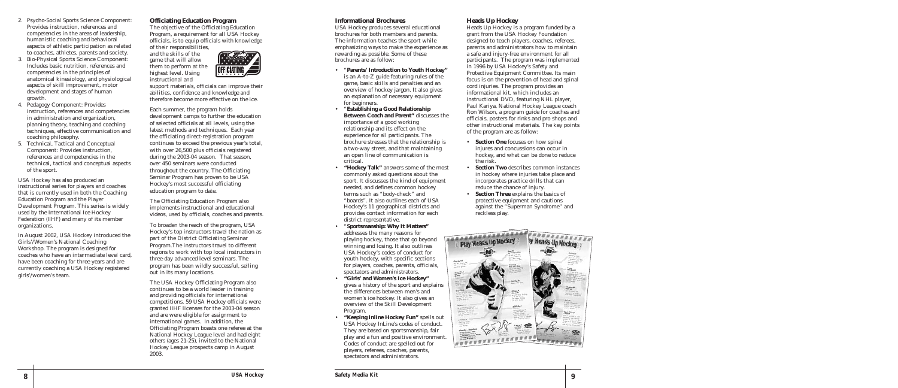## **Informational Brochures**

USA Hockey produces several educational brochures for both members and parents. The information teaches the sport while emphasizing ways to make the experience as rewarding as possible. Some of these brochures are as follow:

- "**Parents' Introduction to Youth Hockey"** is an A-to-Z guide featuring rules of the game, basic skills and penalties and an overview of hockey jargon. It also gives an explanation of necessary equipment for beginners.
- "**Establishing a Good Relationship Between Coach and Parent"** discusses the importance of a good working relationship and its effect on the experience for all participants. The brochure stresses that the relationship is a two-way street, and that maintaining an open line of communication is critical.
- **"Hockey Talk"** answers some of the most commonly asked questions about the sport. It discusses the kind of equipment needed, and defines common hockey terms such as "body-check" and "boards". It also outlines each of USA Hockey's 11 geographical districts and provides contact information for each district representative.
- "**Sportsmanship: Why It Matters"** addresses the many reasons for playing hockey, those that go beyond winning and losing. It also outlines USA Hockey's codes of conduct for youth hockey, with specific sections for players, coaches, parents, officials, spectators and administrators.
- **"Girls' and Women's Ice Hockey"** gives a history of the sport and explains the differences between men's and women's ice hockey. It also gives an overview of the Skill Development Program.
- **"Keeping Inline Hockey Fun"** spells out USA Hockey InLine's codes of conduct. They are based on sportsmanship, fair play and a fun and positive environment. Codes of conduct are spelled out for players, referees, coaches, parents, spectators and administrators.

### **Heads Up Hockey**

Heads Up Hockey is a program funded by a grant from the USA Hockey Foundation designed to teach players, coaches, referees, parents and administrators how to maintain a safe and injury-free environment for all participants. The program was implemented in 1996 by USA Hockey's Safety and Protective Equipment Committee. Its main focus is on the prevention of head and spinal cord injuries. The program provides an informational kit, which includes an instructional DVD, featuring NHL player, Paul Kariya, National Hockey League coach Ron Wilson, a program guide for coaches and officials, posters for rinks and pro shops and other instructional materials. The key points of the program are as follow:

- **Section One** focuses on how spinal injures and concussions can occur in hockey, and what can be done to reduce the risk.
- **Section Two** describes common instances in hockey where injuries take place and incorporates practice drills that can reduce the chance of injury.
- **Section Three** explains the basics of protective equipment and cautions against the "Superman Syndrome" and reckless play.



- 2. Psycho-Social Sports Science Component: Provides instruction, references and competencies in the areas of leadership, humanistic coaching and behavioral aspects of athletic participation as related to coaches, athletes, parents and society.
- 3. Bio-Physical Sports Science Component: Includes basic nutrition, references and competencies in the principles of anatomical kinesiology, and physiological aspects of skill improvement, motor development and stages of human growth.
- 4. Pedagogy Component: Provides instruction, references and competencies in administration and organization, planning theory, teaching and coaching techniques, effective communication and coaching philosophy.
- 5. Technical, Tactical and Conceptual Component: Provides instruction, references and competencies in the technical, tactical and conceptual aspects of the sport.

USA Hockey has also produced an instructional series for players and coaches that is currently used in both the Coaching Education Program and the Player Development Program. This series is widely used by the International Ice Hockey Federation (IIHF) and many of its member organizations.

In August 2002, USA Hockey introduced the Girls'/Women's National Coaching Workshop. The program is designed for coaches who have an intermediate level card, have been coaching for three years and are currently coaching a USA Hockey registered girls'/women's team.

# **Officiating Education Program**

The objective of the Officiating Education Program, a requirement for all USA Hockey officials, is to equip officials with knowledge

of their responsibilities, and the skills of the game that will allow them to perform at the highest level. Using instructional and



support materials, officials can improve their abilities, confidence and knowledge and therefore become more effective on the ice.

Each summer, the program holds development camps to further the education of selected officials at all levels, using the latest methods and techniques. Each year the officiating direct-registration program continues to exceed the previous year's total, with over 26,500 plus officials registered during the 2003-04 season. That season, over 450 seminars were conducted throughout the country. The Officiating Seminar Program has proven to be USA Hockey's most successful officiating education program to date.

The Officiating Education Program also implements instructional and educational videos, used by officials, coaches and parents.

To broaden the reach of the program, USA Hockey's top instructors travel the nation as part of the District Officiating Seminar Program.The instructors travel to different regions to work with top local instructors in three-day advanced level seminars. The program has been wildly successful, selling out in its many locations.

The USA Hockey Officiating Program also continues to be a world leader in training and providing officials for international competitions. 59 USA Hockey officials were granted IIHF licenses for the 2003-04 season and are were eligible for assignment to international games. In addition, the Officiating Program boasts one referee at the National Hockey League level and had eight others (ages 21-25), invited to the National Hockey League prospects camp in August 2003.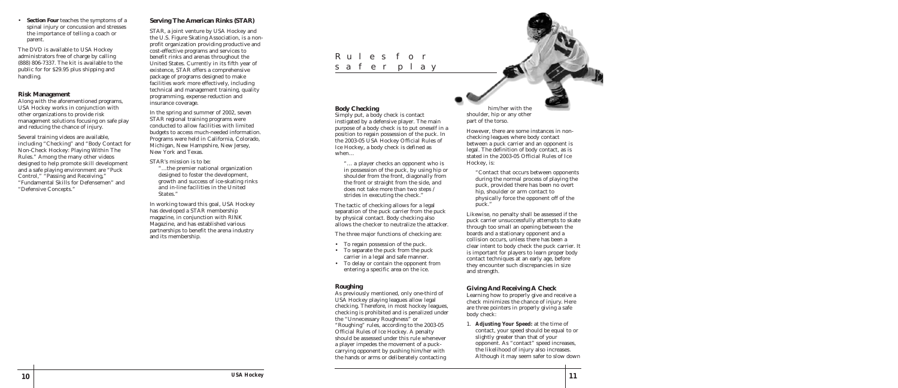## **Body Checking**

Simply put, a body check is contact instigated by a defensive player. The main purpose of a body check is to put oneself in a position to regain possession of the puck. In the *2003-05 USA Hockey Official Rules of Ice Hockey*, a body check is defined as when…

*"… a player checks an opponent who is in possession of the puck, by using hip or shoulder from the front, diagonally from the front or straight from the side, and does not take more than two steps / strides in executing the check."*

The tactic of checking allows for a legal separation of the puck carrier from the puck by physical contact. Body checking also allows the checker to neutralize the attacker.

The three major functions of checking are:

- To regain possession of the puck.
- To separate the puck from the puck carrier in a legal and safe manner.
- To delay or contain the opponent from entering a specific area on the ice.

# **Roughing**

As previously mentioned, only one-third of USA Hockey playing leagues allow legal checking. Therefore, in most hockey leagues, checking is prohibited and is penalized under the "Unnecessary Roughness" or "Roughing" rules, according to the *2003-05 Official Rules of Ice Hockey*. A penalty should be assessed under this rule whenever a player impedes the movement of a puckcarrying opponent by pushing him/her with the hands or arms or deliberately contacting

him/her with the shoulder, hip or any other part of the torso.

**Section Four** teaches the symptoms of a spinal injury or concussion and stresses the importance of telling a coach or parent.

> However, there are some instances in nonchecking leagues where body contact between a puck carrier and an opponent is legal. The definition of body contact, as is stated in the *2003-05 Official Rules of Ice Hockey*, is:

*"Contact that occurs between opponents during the normal process of playing the puck, provided there has been no overt hip, shoulder or arm contact to physically force the opponent off of the puck."*

Likewise, no penalty shall be assessed if the puck carrier unsuccessfully attempts to skate through too small an opening between the boards and a stationary opponent and a collision occurs, unless there has been a clear intent to body check the puck carrier. It is important for players to learn proper body contact techniques at an early age, before they encounter such discrepancies in size and strength.

## **Giving And Receiving A Check**

Learning how to properly give and receive a check minimizes the chance of injury. Here are three pointers in properly giving a safe body check:

1. *Adjusting Your Speed:* at the time of contact, your speed should be equal to or slightly greater than that of your opponent. As "contact" speed increases, the likelihood of injury also increases. Although it may seem safer to slow down

# Rules for safer play

The DVD is available to USA Hockey administrators free of charge by calling (888) 806-7337. The kit is available to the public for for \$29.95 plus shipping and handling.

#### **Risk Management**

Along with the aforementioned programs, USA Hockey works in conjunction with other organizations to provide risk management solutions focusing on safe play and reducing the chance of injury.

Several training videos are available, including "Checking" and "Body Contact for Non-Check Hockey: Playing Within The Rules." Among the many other videos designed to help promote skill development and a safe playing environment are "Puck Control," "Passing and Receiving," "Fundamental Skills for Defensemen" and "Defensive Concepts."

## **Serving The American Rinks (STAR)**

STAR, a joint venture by USA Hockey and the U.S. Figure Skating Association, is a nonprofit organization providing productive and cost-effective programs and services to benefit rinks and arenas throughout the United States. Currently in its fifth year of existence, STAR offers a comprehensive package of programs designed to make facilities work more effectively, including technical and management training, quality programming, expense reduction and insurance coverage.

In the spring and summer of 2002, seven STAR regional training programs were conducted to allow facilities with limited budgets to access much-needed information. Programs were held in California, Colorado, Michigan, New Hampshire, New Jersey, New York and Texas.

STAR's mission is to be:

*"…the premier national organization designed to foster the development, growth and success of ice-skating rinks and in-line facilities in the United States."*

In working toward this goal, USA Hockey has developed a STAR membership magazine, in conjunction with *RINK Magazine*, and has established various partnerships to benefit the arena industry and its membership.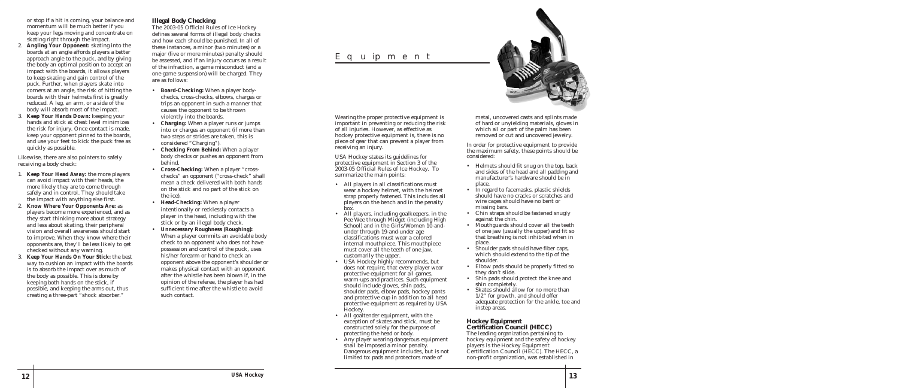Wearing the proper protective equipment is important in preventing or reducing the risk of all injuries. However, as effective as hockey protective equipment is, there is no piece of gear that can prevent a player from receiving an injury.

USA Hockey states its guidelines for protective equipment in Section 3 of the *2003-05 Official Rules of Ice Hockey.* To summarize the main points:

- All players in all classifications must wear a hockey helmet, with the helmet strap properly fastened. This includes all players on the bench and in the penalty box.
- All players, including goalkeepers, in th Pee Wee through Midget (including High School) and in the Girls/Women 10-and under through 19-and-under age classifications must wear a colored internal mouthpiece. This mouthpiece must cover all the teeth of one jaw, customarily the upper.
- USA Hockey highly recommends, but does not require, that every player wear protective equipment for all games, warm-ups and practices. Such equipment should include gloves, shin pads, shoulder pads, elbow pads, hockey pant and protective cup in addition to all head protective equipment as required by US Hockey.
- All goaltender equipment, with the exception of skates and stick, must be constructed solely for the purpose of protecting the head or body.
- Any player wearing dangerous equipment shall be imposed a minor penalty. Dangerous equipment includes, but is not limited to: pads and protectors made of

metal, uncovered casts and splints made of hard or unyielding materials, gloves in

| 0                                         | which all or part of the palm has been<br>removed or cut and uncovered jewelry.                                                                                                                                                                                   |
|-------------------------------------------|-------------------------------------------------------------------------------------------------------------------------------------------------------------------------------------------------------------------------------------------------------------------|
| <b>T</b>                                  | In order for protective equipment to provide<br>the maximum safety, these points should be<br>considered:                                                                                                                                                         |
| Ш<br>$\overline{\phantom{a}}$             | Helmets should fit snug on the top, back<br>and sides of the head and all padding and<br>manufacturer's hardware should be in<br>place.<br>In regard to facemasks, plastic shields<br>should have no cracks or scratches and<br>wire cages should have no bent or |
| <b>ne</b><br>şh<br>ĺ-                     | missing bars.<br>Chin straps should be fastened snugly<br>$\bullet$<br>against the chin.<br>Mouthguards should cover all the teeth                                                                                                                                |
|                                           | of one jaw (usually the upper) and fit so<br>that breathing is not inhibited when in<br>place.<br>Shoulder pads should have fiber caps,                                                                                                                           |
|                                           | which should extend to the tip of the<br>shoulder.<br>Elbow pads should be properly fitted so<br>they don't slide.                                                                                                                                                |
| nt                                        | Shin pads should protect the knee and<br>$\bullet$<br>shin completely.                                                                                                                                                                                            |
| ts<br>ad<br>$\overline{\text{S}}\text{A}$ | Skates should allow for no more than<br>1/2" for growth, and should offer<br>adequate protection for the ankle, toe and<br>instep areas.                                                                                                                          |
|                                           | <b>Hockey Equipment</b><br><b>Certification Council (HECC)</b><br>The leading organization pertaining to                                                                                                                                                          |
| nt!                                       | hockey equipment and the safety of hockey<br>players is the Hockey Equipment                                                                                                                                                                                      |
| not                                       | Certification Council (HECC). The HECC, a                                                                                                                                                                                                                         |

non-profit organization, was established in

# Equipment

*13*

or stop if a hit is coming, your balance and momentum will be much better if you keep your legs moving and concentrate on skating right through the impact.

- 2. *Angling Your Opponent:* skating into the boards at an angle affords players a better approach angle to the puck, and by giving the body an optimal position to accept an impact with the boards, it allows players to keep skating and gain control of the puck. Further, when players skate into corners at an angle, the risk of hitting the boards with their helmets first is greatly reduced. A leg, an arm, or a side of the body will absorb most of the impact.
- 3. *Keep Your Hands Down:* keeping your hands and stick at chest level minimizes the risk for injury. Once contact is made, keep your opponent pinned to the boards, and use your feet to kick the puck free as quickly as possible.

Likewise, there are also pointers to safely receiving a body check:

- 1. *Keep Your Head Away:* the more players can avoid impact with their heads, the more likely they are to come through safely and in control. They should take the impact with anything else first.
- 2. *Know Where Your Opponents Are:* as players become more experienced, and as they start thinking more about strategy and less about skating, their peripheral vision and overall awareness should start to improve. When they know where their opponents are, they'll be less likely to get checked without any warning.
- 3. *Keep Your Hands On Your Stick:* the best way to cushion an impact with the boards is to absorb the impact over as much of the body as possible. This is done by keeping both hands on the stick, if possible, and keeping the arms out, thus creating a three-part "shock absorber."

# **Illegal Body Checking**

The *2003-05 Official Rules of Ice Hockey* defines several forms of illegal body checks and how each should be punished. In all of these instances, a minor (two minutes) or a major (five or more minutes) penalty should be assessed, and if an injury occurs as a result of the infraction, a game misconduct (and a one-game suspension) will be charged. They are as follows:

- *Board-Checking:* When a player bodychecks, cross-checks, elbows, charges or trips an opponent in such a manner that causes the opponent to be thrown violently into the boards.
- *Charging:* When a player runs or jumps into or charges an opponent (if more than two steps or strides are taken, this is considered "Charging").
- *Checking From Behind:* When a player body checks or pushes an opponent from behind.
- *Cross-Checking:* When a player "crosschecks" an opponent ("cross-check" shall mean a check delivered with both hands on the stick and no part of the stick on the ice).
- *Head-Checking:* When a player intentionally or recklessly contacts a player in the head, including with the stick or by an illegal body check.
- *Unnecessary Roughness (Roughing):* When a player commits an avoidable body check to an opponent who does not have possession and control of the puck, uses his/her forearm or hand to check an opponent above the opponent's shoulder or makes physical contact with an opponent after the whistle has been blown if, in the opinion of the referee, the player has had sufficient time after the whistle to avoid such contact.

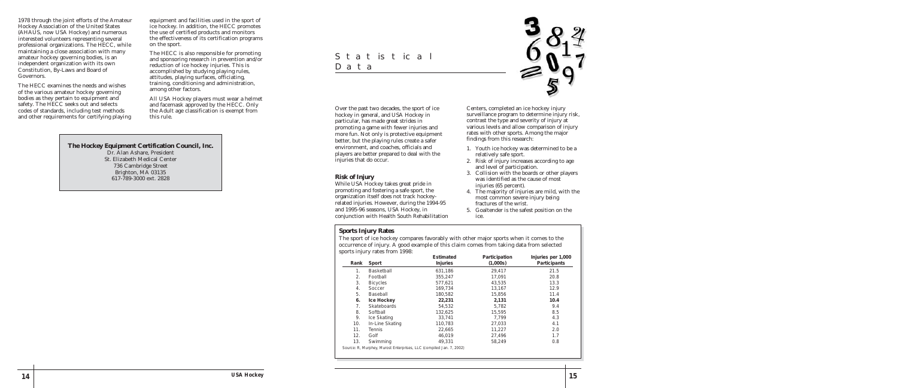Over the past two decades, the sport of ice hockey in general, and USA Hockey in particular, has made great strides in promoting a game with fewer injuries and more fun. Not only is protective equipment better, but the playing rules create a safer environment, and coaches, officials and players are better prepared to deal with the injuries that do occur.

## **Risk of Injury**

While USA Hockey takes great pride in promoting and fostering a safe sport, the organization itself does not track hockeyrelated injuries. However, during the 1994-95 and 1995-96 seasons, USA Hockey, in conjunction with Health South Rehabilitation

# Stat is tic all Data

Centers, completed an ice hockey injury surveillance program to determine injury risk, contrast the type and severity of injury at various levels and allow comparison of injury rates with other sports. Among the major findings from this research:

| 1. Youth ice hockey was determined to be a   |
|----------------------------------------------|
| relatively safe sport.                       |
| 2. Risk of injury increases according to age |

and level of participation.

| 3. Collision with the boards or other players |
|-----------------------------------------------|
| was identified as the cause of most           |
| injuries (65 percent).                        |
|                                               |

- 4. The majority of injuries are mild, with the most common severe injury being fractures of the wrist.
- 5. Goaltender is the safest position on the ice.

1978 through the joint efforts of the Amateur Hockey Association of the United States (AHAUS, now USA Hockey) and numerous interested volunteers representing several professional organizations. The HECC, while maintaining a close association with many amateur hockey governing bodies, is an independent organization with its own Constitution, By-Laws and Board of Governors.

The HECC examines the needs and wishes of the various amateur hockey governing bodies as they pertain to equipment and safety. The HECC seeks out and selects codes of standards, including test methods and other requirements for certifying playing

equipment and facilities used in the sport of ice hockey. In addition, the HECC promotes the use of certified products and monitors the effectiveness of its certification programs on the sport.

The HECC is also responsible for promoting and sponsoring research in prevention and/or reduction of ice hockey injuries. This is accomplished by studying playing rules, attitudes, playing surfaces, officiating, training, conditioning and administration, among other factors.

All USA Hockey players must wear a helmet and facemask approved by the HECC. Only the Adult age classification is exempt from this rule.

#### **The Hockey Equipment Certification Council, Inc.**

Dr. Alan Ashare, President St. Elizabeth Medical Center 736 Cambridge Street Brighton, MA 03135 617-789-3000 ext. 2828

## **Sports Injury Rates**

The sport of ice hockey compares favorably with other major sports when it comes to the occurrence of injury. A good example of this claim comes from taking data from selected sports injury rates from 1998:

| Rank | Sport             | <b>Estimated</b><br><b>Injuries</b> | Participation<br>(1,000s) | Injuries per 1,000<br>Participants |
|------|-------------------|-------------------------------------|---------------------------|------------------------------------|
| 1.   | <b>Basketball</b> | 631,186                             | 29,417                    | 21.5                               |
| 2.   | Football          | 355,247                             | 17,091                    | 20.8                               |
| 3.   | <b>Bicycles</b>   | 577,621                             | 43,535                    | 13.3                               |
| 4.   | Soccer            | 169,734                             | 13,167                    | 12.9                               |
| 5.   | Baseball          | 180,582                             | 15,856                    | 11.4                               |
| 6.   | Ice Hockey        | 22,231                              | 2,131                     | 10.4                               |
| 7.   | Skateboards       | 54,532                              | 5,782                     | 9.4                                |
| 8.   | Softball          | 132,625                             | 15,595                    | 8.5                                |
| 9.   | Ice Skating       | 33,741                              | 7,799                     | 4.3                                |
| 10.  | In-Line Skating   | 110,783                             | 27,033                    | 4.1                                |
| 11.  | <b>Tennis</b>     | 22,665                              | 11,227                    | 2.0                                |
| 12.  | Golf              | 46,019                              | 27,496                    | 1.7                                |
| 13.  | Swimming          | 49,331                              | 58,249                    | 0.8                                |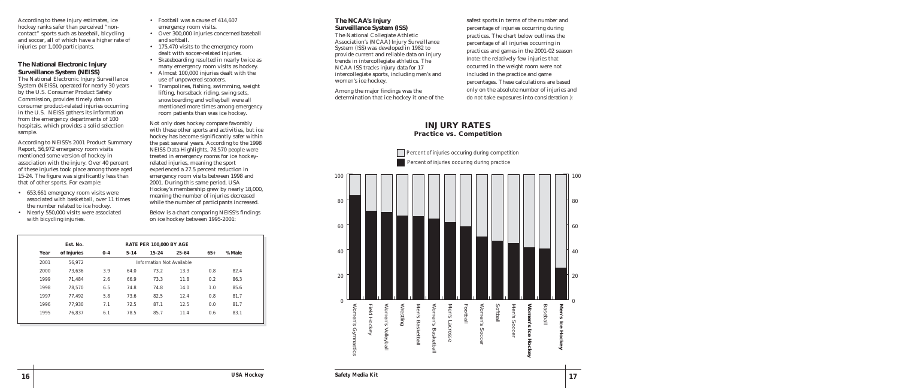**The NCAA's Injury Surveillance System (ISS)** The National Collegiate Athletic Association's (NCAA) Injury Surveillance System (ISS) was developed in 1982 to provide current and reliable data on injury trends in intercollegiate athletics. The NCAA ISS tracks injury data for 17 intercollegiate sports, including men's and women's ice hockey. Among the major findings was the determination that ice hockey it one of the

safest sports in terms of the number and percentage of injuries occurring during practices. The chart below outlines the percentage of all injuries occurring in practices and games in the 2001-02 season (note: the relatively few injuries that occurred in the weight room were not included in the practice and game percentages. These calculations are based only on the absolute number of injuries and do not take exposures into consideration.):

According to these injury estimates, ice hockey ranks safer than perceived "noncontact" sports such as baseball, bicycling and soccer, all of which have a higher rate of injuries per 1,000 participants.

## **The National Electronic Injury Surveillance System (NEISS)**

The National Electronic Injury Surveillance System (NEISS), operated for nearly 30 years by the U.S. Consumer Product Safety Commission, provides timely data on consumer product-related injuries occurring in the U.S. NEISS gathers its information from the emergency departments of 100 hospitals, which provides a solid selection sample.

According to NEISS's 2001 Product Summary Report, 56,972 emergency room visits mentioned some version of hockey in association with the injury. Over 40 percent of these injuries took place among those aged 15-24. The figure was significantly less than that of other sports. For example:

- 653,661 emergency room visits were associated with basketball, over 11 times the number related to ice hockey.
- Nearly 550,000 visits were associated with bicycling injuries.
- Football was a cause of 414,607 emergency room visits.
- Over 300,000 injuries concerned baseball and softball.
- 175,470 visits to the emergency room dealt with soccer-related injuries.
- Skateboarding resulted in nearly twice as many emergency room visits as hockey.
- Almost 100,000 injuries dealt with the use of unpowered scooters.
- Trampolines, fishing, swimming, weight lifting, horseback riding, swing sets, snowboarding and volleyball were all mentioned more times among emergency room patients than was ice hockey.

Not only does hockey compare favorably with these other sports and activities, but ice hockey has become significantly safer within the past several years. According to the 1998 NEISS Data Highlights, 78,570 people were treated in emergency rooms for ice hockeyrelated injuries, meaning the sport experienced a 27.5 percent reduction in emergency room visits between 1998 and 2001. During this same period, USA Hockey's membership grew by nearly 18,000, meaning the number of injuries decreased while the number of participants increased.

Below is a chart comparing NEISS's findings on ice hockey between 1995-2001:

|      | Est. No.    |         |          | <b>RATE PER 100,000 BY AGE</b> |           |       |       |
|------|-------------|---------|----------|--------------------------------|-----------|-------|-------|
| Year | of Injuries | $0 - 4$ | $5 - 14$ | $15 - 24$                      | $25 - 64$ | $65+$ | %Male |
| 2001 | 56.972      |         |          | Information Not Available      |           |       |       |
| 2000 | 73.636      | 3.9     | 64.0     | 73.2                           | 13.3      | 0.8   | 82.4  |
| 1999 | 71,484      | 2.6     | 66.9     | 73.3                           | 11.8      | 0.2   | 86.3  |
| 1998 | 78,570      | 6.5     | 74.8     | 74.8                           | 14.0      | 1.0   | 85.6  |
| 1997 | 77,492      | 5.8     | 73.6     | 82.5                           | 12.4      | 0.8   | 81.7  |
| 1996 | 77,930      | 7.1     | 72.5     | 87.1                           | 12.5      | 0.0   | 81.7  |
| 1995 | 76,837      | 6.1     | 78.5     | 85.7                           | 11.4      | 0.6   | 83.1  |



# **INJURY RATES Practice vs. Competition**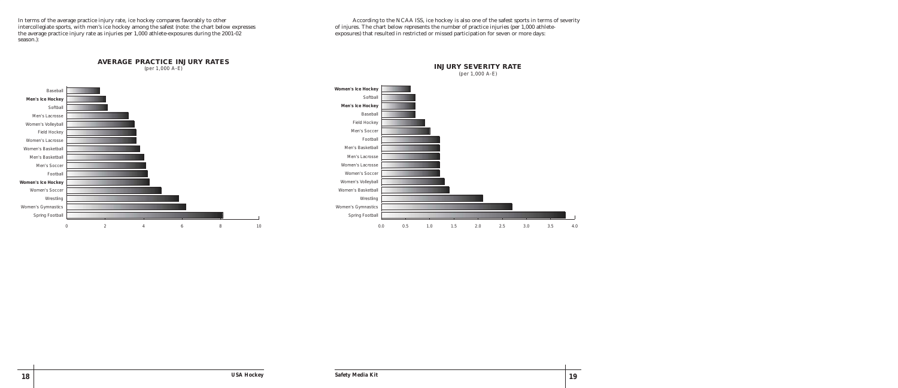According to the NCAA ISS, ice hockey is also one of the safest sports in terms of severity of injures. The chart below represents the number of practice injuries (per 1,000 athleteexposures) that resulted in restricted or missed participation for seven or more days:

In terms of the average practice injury rate, ice hockey compares favorably to other intercollegiate sports, with men's ice hockey among the safest (note: the chart below expresses the average practice injury rate as injuries per 1,000 athlete-exposures during the 2001-02 season.):





*(per 1,000 A-E)*

# **INJURY SEVERITY RATE**

*(per 1,000 A-E)*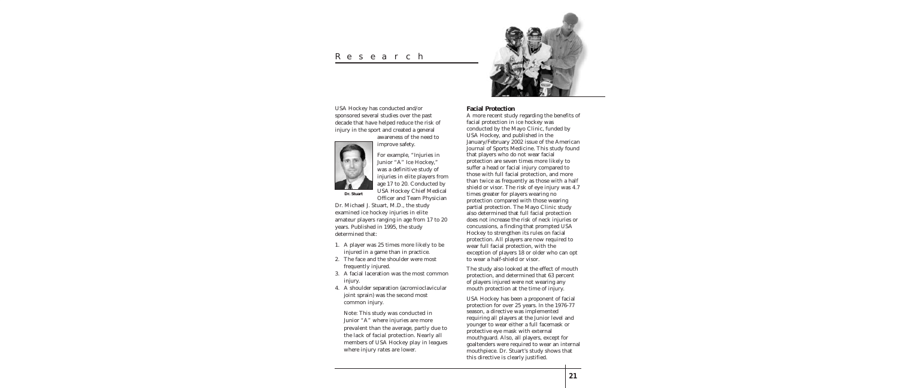USA Hockey has conducted and/or sponsored several studies over the past decade that have helped reduce the risk of injury in the sport and created a general awareness of the need to

Dr. Michael J. Stuart, M.D., the study examined ice hockey injuries in elite amateur players ranging in age from 17 to 20 years. Published in 1995, the study determined that:

- 1. A player was 25 times more likely to be injured in a game than in practice.
- 2. The face and the shoulder were most frequently injured.
- 3. A facial laceration was the most common injury.
- 4. A shoulder separation (acromioclavicular joint sprain) was the second most common injury.

*Note: This study was conducted in Junior "A" where injuries are more prevalent than the average, partly due the lack of facial protection. Nearly all members of USA Hockey play in leagues where injury rates are lower.*



#### **Facial Protection**

| al studies over the past          | A more recent study regarding the benefits of                                        |
|-----------------------------------|--------------------------------------------------------------------------------------|
| helped reduce the risk of         | facial protection in ice hockey was                                                  |
| ort and created a general         | conducted by the Mayo Clinic, funded by                                              |
| awareness of the need to          | USA Hockey, and published in the                                                     |
| improve safety.                   | January/February 2002 issue of the American                                          |
|                                   | Journal of Sports Medicine. This study found                                         |
| For example, "Injuries in         | that players who do not wear facial                                                  |
| Junior "A" Ice Hockey,"           | protection are seven times more likely to                                            |
| was a definitive study of         | suffer a head or facial injury compared to                                           |
| injuries in elite players from    | those with full facial protection, and more                                          |
| age 17 to 20. Conducted by        | than twice as frequently as those with a half                                        |
| <b>USA Hockey Chief Medical</b>   | shield or visor. The risk of eye injury was 4.7                                      |
| Officer and Team Physician        | times greater for players wearing no                                                 |
| tuart, M.D., the study            | protection compared with those wearing                                               |
| ckey injuries in elite            | partial protection. The Mayo Clinic study                                            |
| ranging in age from 17 to 20      | also determined that full facial protection                                          |
|                                   | does not increase the risk of neck injuries or                                       |
| in 1995, the study                | concussions, a finding that prompted USA<br>Hockey to strengthen its rules on facial |
|                                   | protection. All players are now required to                                          |
| 25 times more likely to be        | wear full facial protection, with the                                                |
| game than in practice.            | exception of players 18 or older who can opt                                         |
| the shoulder were most            | to wear a half-shield or visor.                                                      |
| jured.                            |                                                                                      |
| ration was the most common        | The study also looked at the effect of mouth                                         |
|                                   | protection, and determined that 63 percent                                           |
|                                   | of players injured were not wearing any                                              |
| eparation (acromioclavicular      | mouth protection at the time of injury.                                              |
| was the second most               | USA Hockey has been a proponent of facial                                            |
| iry.                              | protection for over 25 years. In the 1976-77                                         |
| tudy was conducted in             | season, a directive was implemented                                                  |
| <i>vhere injuries are more</i>    | requiring all players at the Junior level and                                        |
| an the average, partly due to     | younger to wear either a full facemask or                                            |
|                                   | protective eye mask with external                                                    |
| acial protection. Nearly all      | mouthguard. Also, all players, except for                                            |
| <b>USA Hockey play in leagues</b> | goaltenders were required to wear an internal                                        |
| rates are lower.                  | mouthpiece. Dr. Stuart's study shows that                                            |
|                                   | this directive is clearly justified.                                                 |

# Research

**Dr. Stuart**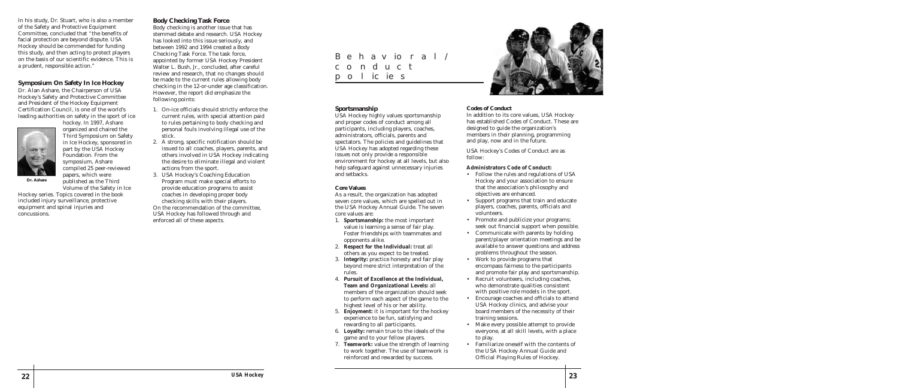### **Sportsmanship**

USA Hockey highly values sportsmanship and proper codes of conduct among all participants, including players, coaches, administrators, officials, parents and spectators. The policies and guidelines that USA Hockey has adopted regarding these issues not only provide a responsible environment for hockey at all levels, but help safeguard against unnecessary injurie and setbacks.

#### **Core Values**

As a result, the organization has adopted seven core values, which are spelled out in the *USA Hockey Annual Guide*. The seven core values are:

- 1. *Sportsmanship:* the most important value is learning a sense of fair play. Foster friendships with teammates and opponents alike.
- 2. *Respect for the Individual:* treat all others as you expect to be treated.
- 3. *Integrity:* practice honesty and fair play beyond mere strict interpretation of th rules.
- 4. *Pursuit of Excellence at the Individual, Team and Organizational Levels:* all members of the organization should see to perform each aspect of the game to highest level of his or her ability.
- 5. **Enjoyment:** it is important for the hock experience to be fun, satisfying and rewarding to all participants.
- 6. **Loyalty:** remain true to the ideals of the game and to your fellow players.
- 7. **Teamwork:** value the strength of learn to work together. The use of teamwork reinforced and rewarded by success.

| at        | <b>Codes of Conduct</b><br>In addition to its core values, USA Hockey<br>has established Codes of Conduct. These are<br>designed to guide the organization's<br>members in their planning, programming<br>and play, now and in the future. |
|-----------|--------------------------------------------------------------------------------------------------------------------------------------------------------------------------------------------------------------------------------------------|
| also      | USA Hockey's Codes of Conduct are as<br>follow:                                                                                                                                                                                            |
| 'S        | <b>Administrators Code of Conduct:</b><br>Follow the rules and regulations of USA<br>Hockey and your association to ensure<br>that the association's philosophy and<br>objectives are enhanced.                                            |
| n<br>P.   | Support programs that train and educate<br>players, coaches, parents, officials and<br>volunteers.                                                                                                                                         |
|           | Promote and publicize your programs;<br>seek out financial support when possible.                                                                                                                                                          |
| ŀ         | Communicate with parents by holding<br>parent/player orientation meetings and be<br>available to answer questions and address<br>problems throughout the season.                                                                           |
| ιy<br>ιe  | Work to provide programs that<br>encompass fairness to the participants                                                                                                                                                                    |
| ₫,        | and promote fair play and sportsmanship.<br>Recruit volunteers, including coaches,<br>who demonstrate qualities consistent                                                                                                                 |
| eek       | with positive role models in the sport.                                                                                                                                                                                                    |
| the       | Encourage coaches and officials to attend<br>USA Hockey clinics, and advise your                                                                                                                                                           |
| key       | board members of the necessity of their<br>training sessions.                                                                                                                                                                              |
| <b>ne</b> | Make every possible attempt to provide<br>$\bullet$<br>everyone, at all skill levels, with a place<br>to play.                                                                                                                             |
| ing       | Familiarize oneself with the contents of                                                                                                                                                                                                   |
| k is      | the USA Hockey Annual Guide and<br>Official Playing Rules of Hockey.                                                                                                                                                                       |

# Behavioral/conduct policies

In his study, Dr. Stuart, who is also a member of the Safety and Protective Equipment Committee, concluded that "the benefits of facial protection are beyond dispute. USA Hockey should be commended for funding this study, and then acting to protect players on the basis of our scientific evidence. This is a prudent, responsible action."

### **Symposium On Safety In Ice Hockey**

Dr. Alan Ashare, the Chairperson of USA Hockey's Safety and Protective Committee and President of the Hockey Equipment Certification Council, is one of the world's leading authorities on safety in the sport of ice hockey. In 1997, Ashare

> organized and chaired the Third Symposium on Safety in Ice Hockey, sponsored in part by the USA Hockey Foundation. From the symposium, Ashare compiled 25 peer-reviewed papers, which were published as the Third Volume of the Safety in Ice

Hockey series. Topics covered in the book included injury surveillance, protective equipment and spinal injuries and concussions.

## **Body Checking Task Force**

Body checking is another issue that has stemmed debate and research. USA Hockey has looked into this issue seriously, and between 1992 and 1994 created a Body Checking Task Force. The task force, appointed by former USA Hockey President Walter L. Bush, Jr., concluded, after careful review and research, that no changes should be made to the current rules allowing body checking in the 12-or-under age classification. However, the report did emphasize the following points:

- 1. On-ice officials should strictly enforce the current rules, with special attention paid to rules pertaining to body checking and personal fouls involving illegal use of the stick.
- 2. A strong, specific notification should be issued to all coaches, players, parents, and others involved in USA Hockey indicating the desire to eliminate illegal and violent actions from the sport.
- 3. USA Hockey's Coaching Education Program must make special efforts to provide education programs to assist coaches in developing proper body checking skills with their players.

On the recommendation of the committee, USA Hockey has followed through and enforced all of these aspects.

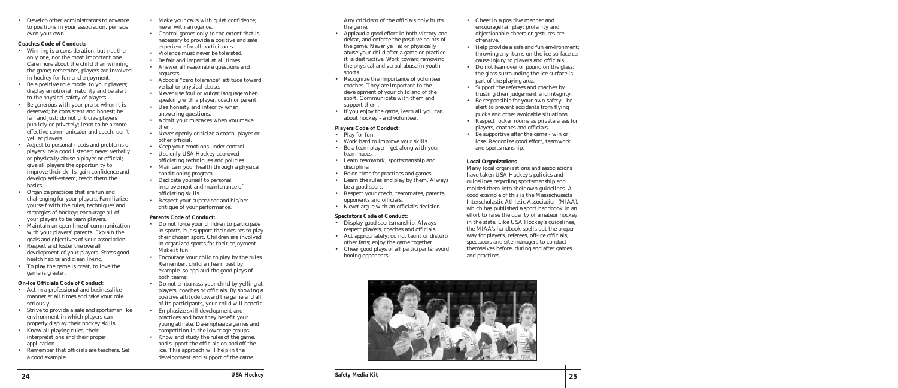Any criticism of the officials only hur the game.

- Applaud a good effort in both victory defeat, and enforce the positive points the game. Never yell at or physically abuse your child after a game or practiit is destructive. Work toward removing the physical and verbal abuse in youth sports.
- Recognize the importance of voluntee coaches. They are important to the development of your child and of the sport. Communicate with them and support them.
- If you enjoy the game, learn all you ca about hockey - and volunteer.

### *Players Code of Conduct:*

- Play for fun.
- Work hard to improve your skills.
- Be a team player get along with your teammates.
- Learn teamwork, sportsmanship and discipline.
- Be on time for practices and games.
- Learn the rules and play by them. Alw be a good sport.
- Respect your coach, teammates, parents, opponents and officials.
- Never argue with an official's decision.

## *Spectators Code of Conduct:*

- Display good sportsmanship. Always respect players, coaches and officials.
- Act appropriately; do not taunt or dist other fans; enjoy the game together.
- Cheer good plays of all participants; av booing opponents.



| ts    | Cheer in a positive manner and                |
|-------|-----------------------------------------------|
|       | encourage fair play; profanity and            |
| and   | objectionable cheers or gestures are          |
| s of  | offensive.                                    |
|       | Help provide a safe and fun environment;      |
| ice - | throwing any items on the ice surface can     |
| ng    | cause injury to players and officials.        |
| h     | Do not lean over or pound on the glass;       |
|       | the glass surrounding the ice surface is      |
| r     | part of the playing area.                     |
|       | Support the referees and coaches by           |
|       | trusting their judgement and integrity.       |
|       | Be responsible for your own safety - be       |
|       | alert to prevent accidents from flying        |
| an    | pucks and other avoidable situations.         |
|       |                                               |
|       | Respect locker rooms as private areas for     |
|       | players, coaches and officials.               |
|       | Be supportive after the game - win or         |
|       | lose. Recognize good effort, teamwork         |
|       | and sportsmanship.                            |
|       |                                               |
|       | <b>Local Organizations</b>                    |
|       | Many local organizations and associations     |
| vays  | have taken USA Hockey's policies and          |
|       | guidelines regarding sportsmanship and        |
| its,  | molded them into their own guidelines. A      |
|       | good example of this is the Massachusetts     |
|       | Interscholastic Athletic Association (MIAA),  |
| ı.    | which has published a sport handbook in an    |
|       | effort to raise the quality of amateur hockey |
|       | in the state. Like USA Hockey's guidelines,   |
|       | the MIAA's handbook spells out the proper     |
| turb  | way for players, referees, off-ice officials, |
|       | spectators and site managers to conduct       |
| void  | themselves before, during and after games     |
|       | and practices.                                |

• Develop other administrators to advance to positions in your association, perhaps even your own.

### *Coaches Code of Conduct:*

- Winning is a consideration, but not the only one, nor the most important one. Care more about the child than winning the game; remember, players are involved in hockey for fun and enjoyment.
- Be a positive role model to your players; display emotional maturity and be alert to the physical safety of players.
- Be generous with your praise when it is deserved; be consistent and honest; be fair and just; do not criticize players publicly or privately; learn to be a more effective communicator and coach; don't yell at players.
- Adjust to personal needs and problems of players; be a good listener; never verbally or physically abuse a player or official; give all players the opportunity to improve their skills, gain confidence and develop self-esteem; teach them the basics.
- Organize practices that are fun and challenging for your players. Familiarize yourself with the rules, techniques and strategies of hockey; encourage all of your players to be team players.
- Maintain an open line of communication with your players' parents. Explain the goals and objectives of your association.
- Respect and foster the overall development of your players. Stress good health habits and clean living.
- To play the game is great, to love the game is greater.

## *On-Ice Officials Code of Conduct:*

- Act in a professional and businesslike manner at all times and take your role seriously.
- Strive to provide a safe and sportsmanlike environment in which players can properly display their hockey skills.
- Know all playing rules, their interpretations and their proper application.
- Remember that officials are teachers. Set a good example.
- Make your calls with quiet confidence; never with arrogance.
- Control games only to the extent that is necessary to provide a positive and safe experience for all participants.
- Violence must never be tolerated.
- Be fair and impartial at all times.
- Answer all reasonable questions and requests.
- Adopt a "zero tolerance" attitude toward verbal or physical abuse.
- Never use foul or vulgar language when speaking with a player, coach or parent.
- Use honesty and integrity when answering questions.
- Admit your mistakes when you make them.
- Never openly criticize a coach, player or other official.
- Keep your emotions under control.
- Use only USA Hockey-approved officiating techniques and policies.
- Maintain your health through a physical conditioning program.
- Dedicate yourself to personal improvement and maintenance of officiating skills.
- Respect your supervisor and his/her critique of your performance.

#### *Parents Code of Conduct:*

- Do not force your children to participate in sports, but support their desires to play their chosen sport. Children are involved in organized sports for their enjoyment. Make it fun.
- Encourage your child to play by the rules. Remember, children learn best by example, so applaud the good plays of both teams.
- Do not embarrass your child by yelling at players, coaches or officials. By showing a positive attitude toward the game and all of its participants, your child will benefit.
- Emphasize skill development and practices and how they benefit your young athlete. De-emphasize games and competition in the lower age groups.
- Know and study the rules of the game, and support the officials on and off the ice. This approach will help in the development and support of the game.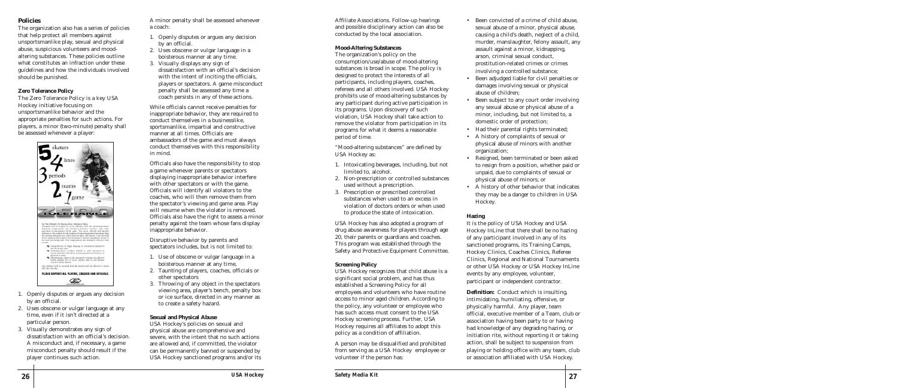The organization's policy on the its programs. Upon discovery of such This program was established through the **Screening Policy**

employees and volunteers who have routine access to minor aged children. According to the policy, any volunteer or employee who has such access must consent to the USA Hockey screening process. Further, USA Hockey requires all affiliates to adopt this policy as a condition of affiliation.

Affiliate Associations. Follow-up hearings and possible disciplinary action can also be conducted by the local association. **Mood-Altering Substances** consumption/use/abuse of mood-altering substances is broad in scope. The policy is designed to protect the interests of all participants, including players, coaches, referees and all others involved. USA Hockey prohibits use of mood-altering substances by any participant during active participation in violation, USA Hockey shall take action to remove the violator from participation in its programs for what it deems a reasonable period of time. "Mood-altering substances" are defined by USA Hockey as: 1. Intoxicating beverages, including, but not limited to, alcohol. 2. Non-prescription or controlled substances used without a prescription. 3. Prescription or prescribed controlled substances when used to an excess in violation of doctors orders or when used to produce the state of intoxication. USA Hockey has also adopted a program of drug abuse awareness for players through age 20, their parents or guardians and coaches. Safety and Protective Equipment Committee. USA Hockey recognizes that child abuse is a significant social problem, and has thus established a Screening Policy for all • Been convicted of a crime of child abuse, sexual abuse of a minor, physical abuse, causing a child's death, neglect of a child, murder, manslaughter, felony assault, any assault against a minor, kidnapping, arson, criminal sexual conduct, prostitution-related crimes or crimes involving a controlled substance; • Been adjudged liable for civil penalties or damages involving sexual or physical abuse of children; • Been subject to any court order involving any sexual abuse or physical abuse of a minor, including, but not limited to, a domestic order of protection; • Had their parental rights terminated; • A history of complaints of sexual or physical abuse of minors with another organization; • Resigned, been terminated or been asked to resign from a position, whether paid or unpaid, due to complaints of sexual or physical abuse of minors; or • A history of other behavior that indicates they may be a danger to children in USA Hockey. **Hazing** It is the policy of USA Hockey and USA Hockey InLine that there shall be no hazing of any participant involved in any of its sanctioned programs, its Training Camps, Hockey Clinics, Coaches Clinics, Referee Clinics, Regional and National Tournaments or other USA Hockey or USA Hockey InLine events by any employee, volunteer, participant or independent contractor. **Definition:** Conduct which is insulting,

- 
- 
- 

A person may be disqualified and prohibited from serving as a USA Hockey employee or volunteer if the person has:

intimidating, humiliating, offensive, or physically harmful. Any player, team official, executive member of a Team, club or association having been party to or having had knowledge of any degrading hazing, or initiation rite, without reporting it or taking action, shall be subject to suspension from playing or holding office with any team, club or association affiliated with USA Hockey.

## **Policies**

The organization also has a series of policies that help protect all members against unsportsmanlike play, sexual and physical abuse, suspicious volunteers and moodaltering substances. These policies outline what constitutes an infraction under these guidelines and how the individuals involved should be punished.

### **Zero Tolerance Policy**

The Zero Tolerance Policy is a key USA Hockey initiative focusing on unsportsmanlike behavior and the appropriate penalties for such actions. For players, a minor (two-minute) penalty shall be assessed whenever a player:



- 1. Openly disputes or argues any decision by an official.
- 2. Uses obscene or vulgar language at any time, even if it isn't directed at a particular person.
- 3. Visually demonstrates any sign of dissatisfaction with an official's decision. A misconduct and, if necessary, a game misconduct penalty should result if the player continues such action.

A minor penalty shall be assessed whenever a coach:

- 1. Openly disputes or argues any decision by an official.
- 2. Uses obscene or vulgar language in a boisterous manner at any time.
- 3. Visually displays any sign of dissatisfaction with an official's decision with the intent of inciting the officials, players or spectators. A game misconduct penalty shall be assessed any time a coach persists in any of these actions.

While officials cannot receive penalties for inappropriate behavior, they are required to conduct themselves in a businesslike, sportsmanlike, impartial and constructive manner at all times. Officials are ambassadors of the game and must always conduct themselves with this responsibility in mind.

Officials also have the responsibility to stop a game whenever parents or spectators displaying inappropriate behavior interfere with other spectators or with the game. Officials will identify all violators to the coaches, who will then remove them from the spectator's viewing and game area. Play will resume when the violator is removed. Officials also have the right to assess a minor penalty against the team whose fans display inappropriate behavior.

Disruptive behavior by parents and spectators includes, but is not limited to:

- 1. Use of obscene or vulgar language in a boisterous manner at any time,
- 2. Taunting of players, coaches, officials or other spectators
- 3. Throwing of any object in the spectators viewing area, player's bench, penalty box or ice surface, directed in any manner as to create a safety hazard.

#### **Sexual and Physical Abuse**

USA Hockey's policies on sexual and physical abuse are comprehensive and severe, with the intent that no such actions are allowed and, if committed, the violator can be permanently banned or suspended by USA Hockey sanctioned programs and/or its